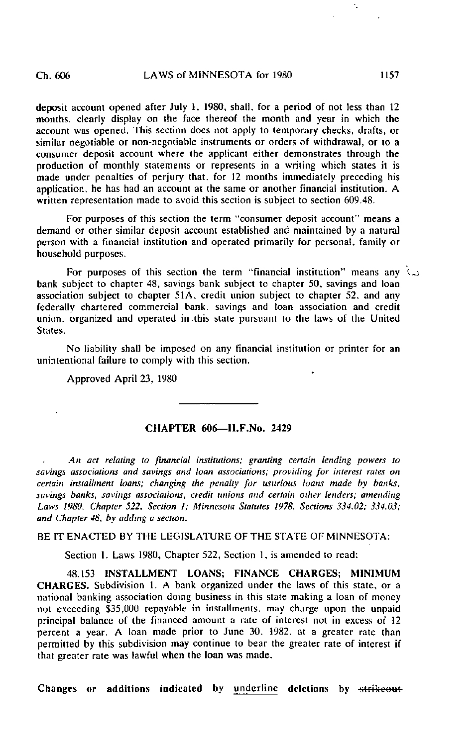deposit account opened after July 1, 1980, shall, for a period of not less than 12 months, clearly display on the face thereof the month and year in which the account was opened. This section does not apply to temporary checks, drafts, or similar negotiable or non-negotiable instruments or orders of withdrawal, or to a consumer deposit account where the applicant either demonstrates through the production of monthly statements or represents in a writing which states it is made under penalties of perjury that, for 12 months immediately preceding his application, he has had an account at the same or another financial institution. A written representation made to avoid this section is subject to section 609.48.

For purposes of this section the term "consumer deposit account" means a demand or other similar deposit account established and maintained by a natural person with a financial institution and operated primarily for personal, family or household purposes.

For purposes of this section the term "financial institution" means any  $\infty$ bank subject to chapter 48, savings bank subject to chapter 50, savings and loan association subject to chapter  $51\overline{A}$ , credit union subject to chapter  $52$ , and any federally chartered commercial bank, savings and loan association and credit union, organized and operated in .this state pursuant to the laws of the United States.

No liability shall be imposed on any financial institution or printer for an unintentional failure to comply with this section.

Approved April 23, 1980

## CHAFFER 606—H.F.No. 2429

An act relating to financial institutions; granting certain lending powers to savings associations and savings and loan associations; providing for interest rates on certain installment loans; changing the penally for usurious loans made by banks, savings banks, savings associations, credit unions and certain other lenders; amending Laws 1980, Chapter 522. Section I; Minnesota Statutes 1978, Sections 334.02; 334.03; and Chapter 48, by adding a section.

BE IT ENACTED BY THE LEGISLATURE OF THE STATE OF MINNESOTA:

Section 1. Laws 1980, Chapter 522, Section 1, is amended to read:

48.153 INSTALLMENT LOANS; FINANCE CHARGES; MINIMUM CHARGES. Subdivision 1. A bank organized under the laws of this state, or a national banking association doing business in this state making a loan of money not exceeding \$35,000 repayable in installments, may charge upon the unpaid principal balance of the financed amount a rate of interest not in excess of 12 percent a year. A loan made prior to June 30. 1982. at a greater rate than permitted by this subdivision may continue to bear the greater rate of interest if that greater rate was lawful when the loan was made.

Changes or additions indicated by underline deletions by strikeout

k.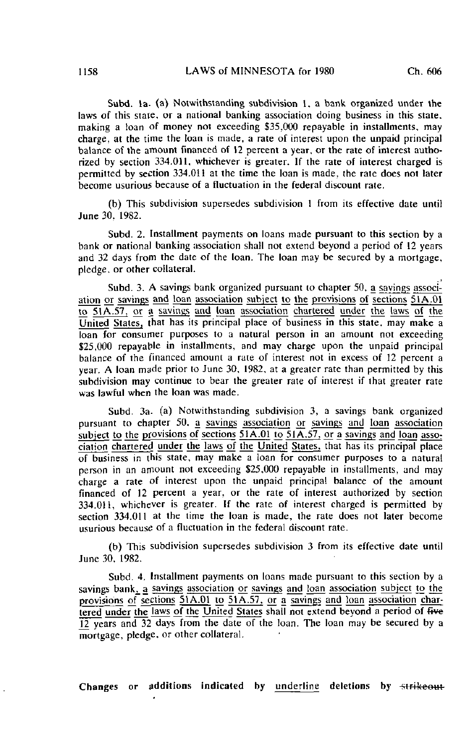Subd. la. (a) Notwithstanding subdivision 1. a bank organized under the laws of this state, or a national banking association doing business in this state, making a loan of money not exceeding \$35,000 repayable in installments, may charge, at the time the loan is made, a rate of interest upon the unpaid principal balance of the amount financed of 12 percent a year, or the rate of interest authorized by section 334.011. whichever is greater. If the rate of interest charged is permitted by section 334.01! at the time the loan is made, the rate does not later become usurious because of a fluctuation in the federal discount rate.

(b) This subdivision supersedes subdivision 1 from its effective date until June 30, 1982.

Subd. 2. Installment payments on loans made pursuant to this section by a bank or national banking association shall not extend beyond a period of 12 years and 32 days from the date of the loan. The loan may be secured by a mortgage, pledge, or other collateral.

Subd. 3. A savings bank organized pursuant to chapter 50, a sayings association or savings and loan association subject to the provisions of sections 5IA.01  $\overline{t_0}$  51 $\overline{A}$ .57, or a savings and loan association chartered under the laws of the United States, that has its principal place of business in this state, may make a loan for consumer purposes to a natural person in an amount not exceeding \$25,000 repayable in installments, and may charge upon the unpaid principal balance of the financed amount a rate of interest not in excess of 12 percent a year. A loan made prior to June 30, 1982, at a greater rate than permitted by this subdivision may continue to bear the greater rate of interest if that greater rate was lawful when the loan was made.

Subd. 3a. (a) Notwithstanding subdivision 3, a savings bank organized pursuant to chapter 50. a savings association or savings and loan association subject to the provisions of sections 51A.01 to 51A.57, or a savings and loan association chartered under the laws of the United States, that has its principal place of business in this state, may make a loan for consumer purposes to a natural person in an amount not exceeding \$25,000 repayable in installments, and may charge a rate of interest upon the unpaid principal balance of the amount financed of 12 percent a year, or the rate of interest authorized by section 334.011, whichever is greater. If the rate of interest charged is permitted by section 334.011 at the time the loan is made, the rate does not later become usurious because of a fluctuation in the federal discount rate.

(b) This subdivision supersedes subdivision 3 from its effective date until June 30, 1982.

Subd. 4, Installment payments on loans made pursuant to this section by a savings bank, a savings association or savings and loan association subject to the provisions of sections 51A.01 to 51A.57. or a savings and loan association chartered under the laws of the United States shall not extend beyond a period of five 12 years and 32 days from the date of the loan. The loan may be secured by a mortgage, pledge, or other collateral.

Changes or additions indicated by underline deletions by strikeout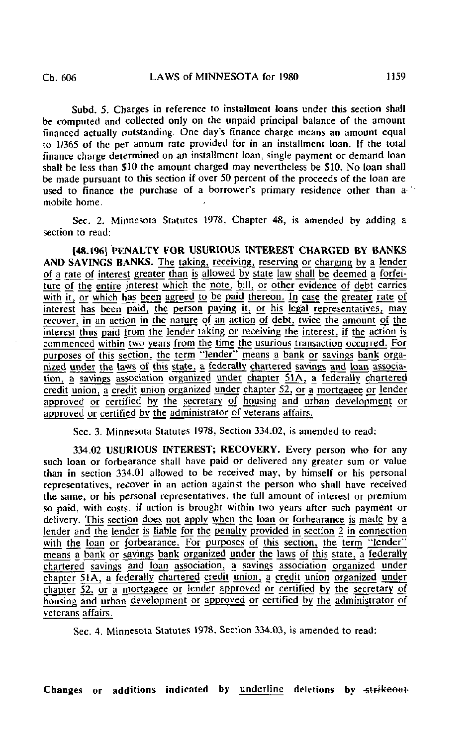Subd. 5. Charges in reference to installment loans under this section shall be computed and collected only on the unpaid principal balance of the amount financed actually outstanding. One day's finance charge means an amount equal to 1/365 of the per annum rate provided for in an installment loan. If the total finance charge determined on an installment loan, single payment or demand loan shall be less than \$10 the amount charged may nevertheless be \$10. No loan shall be made pursuant to this section if over 50 percent of the proceeds of the loan are used to finance the purchase of a borrower's primary residence other than a mobile home.

Sec. 2. Minnesota Statutes 1978, Chapter 48, is amended by adding a section to read:

148.196] PENALTY FOR USURIOUS INTEREST CHARGED BY BANKS AND SAVINGS BANKS. The taking, receiving, reserving or charging by a lender of a rate of interest greater than is allowed by state law shall be deemed a forfeiture of the entire interest which the note, bill, or other evidence of debt carries with it, or which has been agreed to be paid thereon. In case the greater rate of interest has been paid, the person paying it, or his legal representatives, may recover, jn an action in the nature of an action of debt, twice the amount of the interest thus paid from the lender taking or receiving the interest, if the action is commenced within two years from the time the usurious transaction occurred. For purposes of this section, the term "lender" means a bank or savings bank organized under the laws of this state, a federally chartered savings and loan association, a savings association organized under chapter 51A, a federally chartered credit union, a credit union organized under chapter  $52$ , or a mortgagee or lender approved or certified by the secretary of housing and urban development or approved or certified by the administrator of veterans affairs.

Sec. 3. Minnesota Statutes 1978, Section 334.02, is amended to read:

334.02 USURIOUS INTEREST; RECOVERY. Every person who for any such loan or forbearance shall have paid or delivered any greater sum or value than in section 334.01 allowed to be received may, by himself or his personal representatives, recover in an action against the person who shall have received the same, or his personal representatives, the full amount of interest or premium so paid, with costs, if action is brought within two years after such payment or delivery. This section does not apply when the loan or forbearance is made by a lender and the lender is liable for the penalty provided in section 2 in connection with the loan or forbearance. For purposes of this section, the term "lender" means a bank or sayings bank organized under the laws of this state, a federally chartered savings and loan association, a savings association organized under chapter 5iA, a federally chartered credit union, a credit union organized under chapter  $\overline{52}$ , or a mortgagee or lender approved or certified by the secretary of housing and urban development or approved or certified by the administrator of veterans affairs.

Sec. 4. Minnesota Statutes 1978, Section 334.03, is amended to read:

Changes or additions indicated by underline deletions by strikeout-